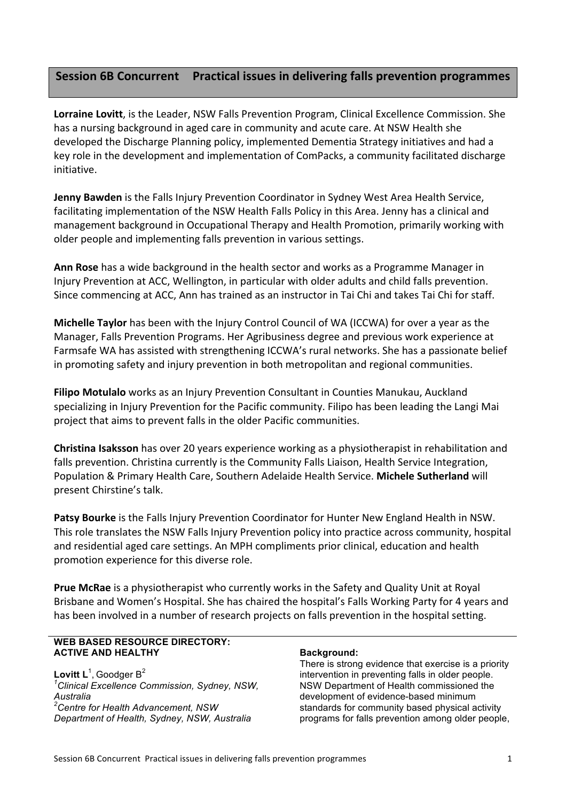# **Session'6B'Concurrent Practical'issues'in'delivering'falls'prevention'programmes**

Lorraine Lovitt, is the Leader, NSW Falls Prevention Program, Clinical Excellence Commission. She has a nursing background in aged care in community and acute care. At NSW Health she developed the Discharge Planning policy, implemented Dementia Strategy initiatives and had a key role in the development and implementation of ComPacks, a community facilitated discharge initiative.

**Jenny Bawden** is the Falls Injury Prevention Coordinator in Sydney West Area Health Service, facilitating implementation of the NSW Health Falls Policy in this Area. Jenny has a clinical and management background in Occupational Therapy and Health Promotion, primarily working with older people and implementing falls prevention in various settings.

**Ann Rose** has a wide background in the health sector and works as a Programme Manager in Injury Prevention at ACC, Wellington, in particular with older adults and child falls prevention. Since commencing at ACC, Ann has trained as an instructor in Tai Chi and takes Tai Chi for staff.

**Michelle Taylor** has been with the Injury Control Council of WA (ICCWA) for over a year as the Manager, Falls Prevention Programs. Her Agribusiness degree and previous work experience at Farmsafe WA has assisted with strengthening ICCWA's rural networks. She has a passionate belief in promoting safety and injury prevention in both metropolitan and regional communities.

**Filipo Motulalo** works as an Injury Prevention Consultant in Counties Manukau, Auckland specializing in Injury Prevention for the Pacific community. Filipo has been leading the Langi Mai project that aims to prevent falls in the older Pacific communities.

**Christina Isaksson** has over 20 years experience working as a physiotherapist in rehabilitation and falls prevention. Christina currently is the Community Falls Liaison, Health Service Integration, Population & Primary Health Care, Southern Adelaide Health Service. Michele Sutherland will present Chirstine's talk.

Patsy Bourke is the Falls Injury Prevention Coordinator for Hunter New England Health in NSW. This role translates the NSW Falls Injury Prevention policy into practice across community, hospital and residential aged care settings. An MPH compliments prior clinical, education and health promotion experience for this diverse role.

Prue McRae is a physiotherapist who currently works in the Safety and Quality Unit at Royal Brisbane and Women's Hospital. She has chaired the hospital's Falls Working Party for 4 years and has been involved in a number of research projects on falls prevention in the hospital setting.

# **WEB BASED RESOURCE DIRECTORY: ACTIVE AND HEALTHY**

Lovitt L<sup>1</sup>, Goodger B<sup>2</sup> *1 Clinical Excellence Commission, Sydney, NSW, Australia 2 Centre for Health Advancement, NSW Department of Health, Sydney, NSW, Australia*

# **Background:**

There is strong evidence that exercise is a priority intervention in preventing falls in older people. NSW Department of Health commissioned the development of evidence-based minimum standards for community based physical activity programs for falls prevention among older people,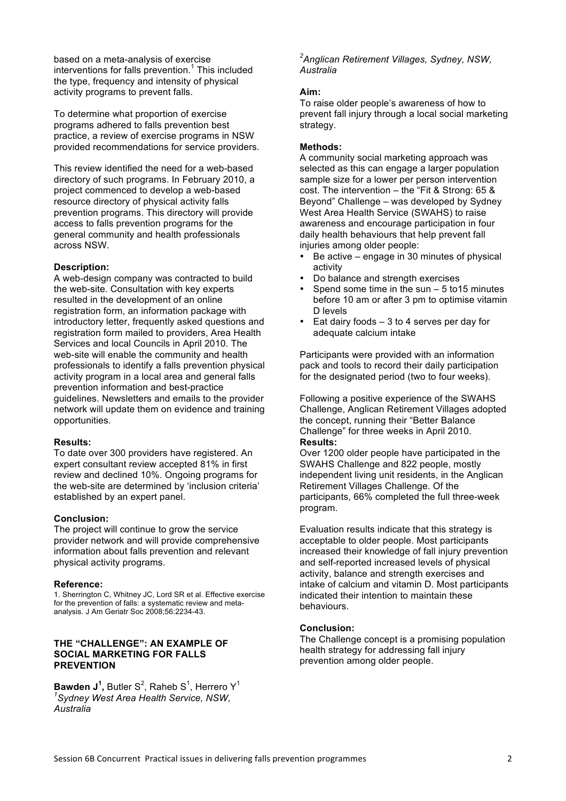based on a meta-analysis of exercise interventions for falls prevention. $<sup>1</sup>$  This included</sup> the type, frequency and intensity of physical activity programs to prevent falls.

To determine what proportion of exercise programs adhered to falls prevention best practice, a review of exercise programs in NSW provided recommendations for service providers.

This review identified the need for a web-based directory of such programs. In February 2010, a project commenced to develop a web-based resource directory of physical activity falls prevention programs. This directory will provide access to falls prevention programs for the general community and health professionals across NSW.

# **Description:**

A web-design company was contracted to build the web-site. Consultation with key experts resulted in the development of an online registration form, an information package with introductory letter, frequently asked questions and registration form mailed to providers, Area Health Services and local Councils in April 2010. The web-site will enable the community and health professionals to identify a falls prevention physical activity program in a local area and general falls prevention information and best-practice guidelines. Newsletters and emails to the provider network will update them on evidence and training opportunities.

#### **Results:**

To date over 300 providers have registered. An expert consultant review accepted 81% in first review and declined 10%. Ongoing programs for the web-site are determined by 'inclusion criteria' established by an expert panel.

# **Conclusion:**

The project will continue to grow the service provider network and will provide comprehensive information about falls prevention and relevant physical activity programs.

#### **Reference:**

1. Sherrington C, Whitney JC, Lord SR et al. Effective exercise for the prevention of falls: a systematic review and metaanalysis. J Am Geriatr Soc 2008;56:2234-43.

# **THE "CHALLENGE": AN EXAMPLE OF SOCIAL MARKETING FOR FALLS PREVENTION**

 $\mathsf{Bawden}\; \mathsf{J}^1$ , Butler  $\mathsf{S}^2$ , Raheb  $\mathsf{S}^1$ , Herrero  $\mathsf{Y}^1$ *1 Sydney West Area Health Service, NSW, Australia*

*2 Anglican Retirement Villages, Sydney, NSW, Australia*

# **Aim:**

To raise older people's awareness of how to prevent fall injury through a local social marketing strategy.

### **Methods:**

A community social marketing approach was selected as this can engage a larger population sample size for a lower per person intervention cost. The intervention – the "Fit & Strong: 65 & Beyond" Challenge – was developed by Sydney West Area Health Service (SWAHS) to raise awareness and encourage participation in four daily health behaviours that help prevent fall injuries among older people:

- Be active engage in 30 minutes of physical activity
- Do balance and strength exercises
- Spend some time in the sun  $-5$  to 15 minutes before 10 am or after 3 pm to optimise vitamin D levels
- Eat dairy foods 3 to 4 serves per day for adequate calcium intake

Participants were provided with an information pack and tools to record their daily participation for the designated period (two to four weeks).

Following a positive experience of the SWAHS Challenge, Anglican Retirement Villages adopted the concept, running their "Better Balance Challenge" for three weeks in April 2010. **Results:**

Over 1200 older people have participated in the SWAHS Challenge and 822 people, mostly independent living unit residents, in the Anglican Retirement Villages Challenge. Of the participants, 66% completed the full three-week program.

Evaluation results indicate that this strategy is acceptable to older people. Most participants increased their knowledge of fall injury prevention and self-reported increased levels of physical activity, balance and strength exercises and intake of calcium and vitamin D. Most participants indicated their intention to maintain these behaviours.

# **Conclusion:**

The Challenge concept is a promising population health strategy for addressing fall injury prevention among older people.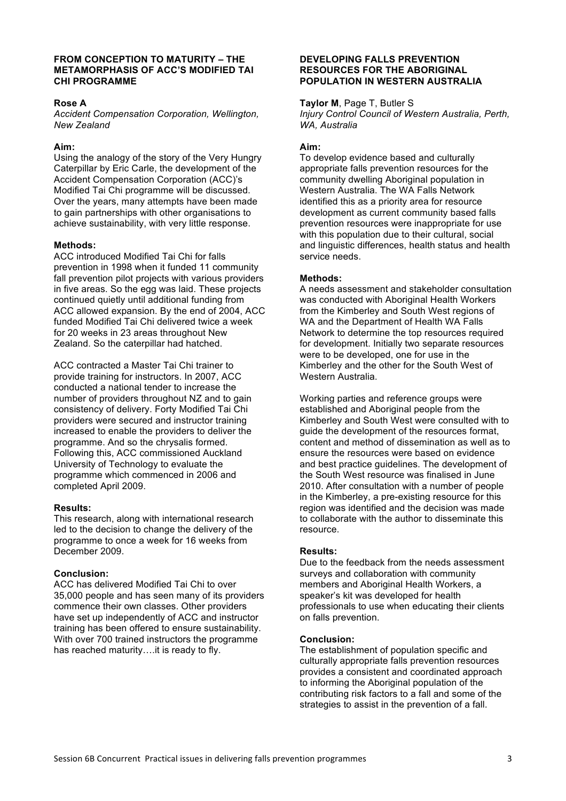# **FROM CONCEPTION TO MATURITY – THE METAMORPHASIS OF ACC'S MODIFIED TAI CHI PROGRAMME**

# **Rose A**

*Accident Compensation Corporation, Wellington, New Zealand*

### **Aim:**

Using the analogy of the story of the Very Hungry Caterpillar by Eric Carle, the development of the Accident Compensation Corporation (ACC)'s Modified Tai Chi programme will be discussed. Over the years, many attempts have been made to gain partnerships with other organisations to achieve sustainability, with very little response.

# **Methods:**

ACC introduced Modified Tai Chi for falls prevention in 1998 when it funded 11 community fall prevention pilot projects with various providers in five areas. So the egg was laid. These projects continued quietly until additional funding from ACC allowed expansion. By the end of 2004, ACC funded Modified Tai Chi delivered twice a week for 20 weeks in 23 areas throughout New Zealand. So the caterpillar had hatched.

ACC contracted a Master Tai Chi trainer to provide training for instructors. In 2007, ACC conducted a national tender to increase the number of providers throughout NZ and to gain consistency of delivery. Forty Modified Tai Chi providers were secured and instructor training increased to enable the providers to deliver the programme. And so the chrysalis formed. Following this, ACC commissioned Auckland University of Technology to evaluate the programme which commenced in 2006 and completed April 2009.

#### **Results:**

This research, along with international research led to the decision to change the delivery of the programme to once a week for 16 weeks from December 2009.

#### **Conclusion:**

ACC has delivered Modified Tai Chi to over 35,000 people and has seen many of its providers commence their own classes. Other providers have set up independently of ACC and instructor training has been offered to ensure sustainability. With over 700 trained instructors the programme has reached maturity….it is ready to fly.

### **DEVELOPING FALLS PREVENTION RESOURCES FOR THE ABORIGINAL POPULATION IN WESTERN AUSTRALIA**

# **Taylor M**, Page T, Butler S

*Injury Control Council of Western Australia, Perth, WA, Australia*

# **Aim:**

To develop evidence based and culturally appropriate falls prevention resources for the community dwelling Aboriginal population in Western Australia. The WA Falls Network identified this as a priority area for resource development as current community based falls prevention resources were inappropriate for use with this population due to their cultural, social and linguistic differences, health status and health service needs.

# **Methods:**

A needs assessment and stakeholder consultation was conducted with Aboriginal Health Workers from the Kimberley and South West regions of WA and the Department of Health WA Falls Network to determine the top resources required for development. Initially two separate resources were to be developed, one for use in the Kimberley and the other for the South West of Western Australia.

Working parties and reference groups were established and Aboriginal people from the Kimberley and South West were consulted with to guide the development of the resources format, content and method of dissemination as well as to ensure the resources were based on evidence and best practice guidelines. The development of the South West resource was finalised in June 2010. After consultation with a number of people in the Kimberley, a pre-existing resource for this region was identified and the decision was made to collaborate with the author to disseminate this resource.

#### **Results:**

Due to the feedback from the needs assessment surveys and collaboration with community members and Aboriginal Health Workers, a speaker's kit was developed for health professionals to use when educating their clients on falls prevention.

### **Conclusion:**

The establishment of population specific and culturally appropriate falls prevention resources provides a consistent and coordinated approach to informing the Aboriginal population of the contributing risk factors to a fall and some of the strategies to assist in the prevention of a fall.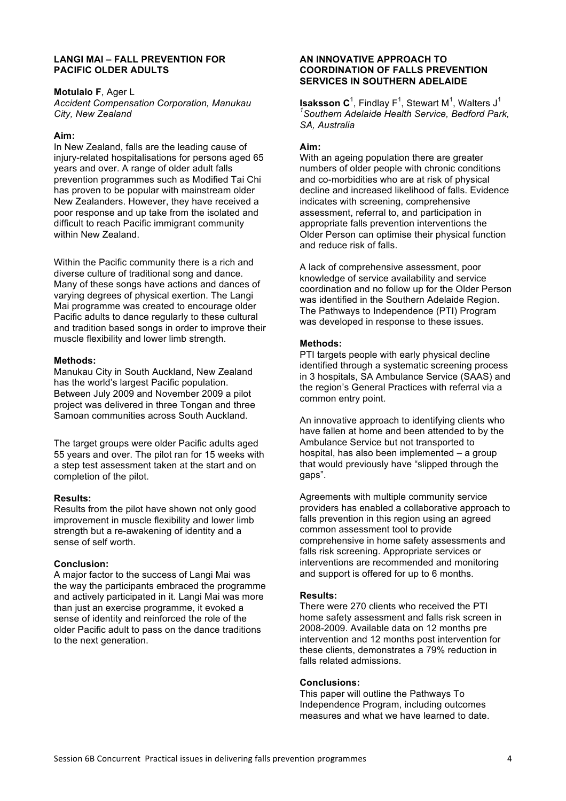# **LANGI MAI – FALL PREVENTION FOR PACIFIC OLDER ADULTS**

**Motulalo F**, Ager L

*Accident Compensation Corporation, Manukau City, New Zealand*

# **Aim:**

In New Zealand, falls are the leading cause of injury-related hospitalisations for persons aged 65 years and over. A range of older adult falls prevention programmes such as Modified Tai Chi has proven to be popular with mainstream older New Zealanders. However, they have received a poor response and up take from the isolated and difficult to reach Pacific immigrant community within New Zealand.

Within the Pacific community there is a rich and diverse culture of traditional song and dance. Many of these songs have actions and dances of varying degrees of physical exertion. The Langi Mai programme was created to encourage older Pacific adults to dance regularly to these cultural and tradition based songs in order to improve their muscle flexibility and lower limb strength.

# **Methods:**

Manukau City in South Auckland, New Zealand has the world's largest Pacific population. Between July 2009 and November 2009 a pilot project was delivered in three Tongan and three Samoan communities across South Auckland.

The target groups were older Pacific adults aged 55 years and over. The pilot ran for 15 weeks with a step test assessment taken at the start and on completion of the pilot.

#### **Results:**

Results from the pilot have shown not only good improvement in muscle flexibility and lower limb strength but a re-awakening of identity and a sense of self worth.

#### **Conclusion:**

A major factor to the success of Langi Mai was the way the participants embraced the programme and actively participated in it. Langi Mai was more than just an exercise programme, it evoked a sense of identity and reinforced the role of the older Pacific adult to pass on the dance traditions to the next generation.

# **AN INNOVATIVE APPROACH TO COORDINATION OF FALLS PREVENTION SERVICES IN SOUTHERN ADELAIDE**

**Isaksson C**<sup>1</sup>, Findlay F<sup>1</sup>, Stewart M<sup>1</sup>, Walters J<sup>1</sup> *1 Southern Adelaide Health Service, Bedford Park, SA, Australia*

### **Aim:**

With an ageing population there are greater numbers of older people with chronic conditions and co-morbidities who are at risk of physical decline and increased likelihood of falls. Evidence indicates with screening, comprehensive assessment, referral to, and participation in appropriate falls prevention interventions the Older Person can optimise their physical function and reduce risk of falls.

A lack of comprehensive assessment, poor knowledge of service availability and service coordination and no follow up for the Older Person was identified in the Southern Adelaide Region. The Pathways to Independence (PTI) Program was developed in response to these issues.

# **Methods:**

PTI targets people with early physical decline identified through a systematic screening process in 3 hospitals, SA Ambulance Service (SAAS) and the region's General Practices with referral via a common entry point.

An innovative approach to identifying clients who have fallen at home and been attended to by the Ambulance Service but not transported to hospital, has also been implemented – a group that would previously have "slipped through the gaps".

Agreements with multiple community service providers has enabled a collaborative approach to falls prevention in this region using an agreed common assessment tool to provide comprehensive in home safety assessments and falls risk screening. Appropriate services or interventions are recommended and monitoring and support is offered for up to 6 months.

#### **Results:**

There were 270 clients who received the PTI home safety assessment and falls risk screen in 2008-2009. Available data on 12 months pre intervention and 12 months post intervention for these clients, demonstrates a 79% reduction in falls related admissions.

#### **Conclusions:**

This paper will outline the Pathways To Independence Program, including outcomes measures and what we have learned to date.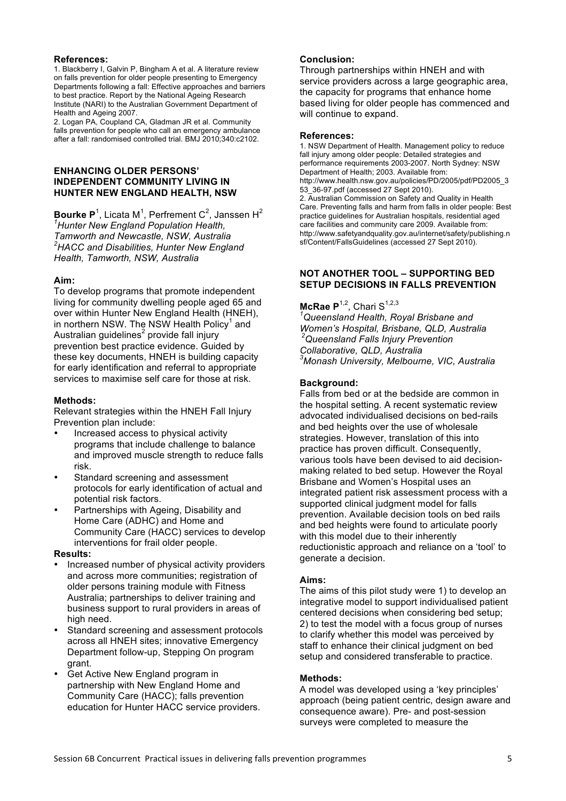#### **References:**

1. Blackberry I, Galvin P, Bingham A et al. A literature review on falls prevention for older people presenting to Emergency Departments following a fall: Effective approaches and barriers to best practice. Report by the National Ageing Research Institute (NARI) to the Australian Government Department of Health and Ageing 2007.

2. Logan PA, Coupland CA, Gladman JR et al. Community falls prevention for people who call an emergency ambulance after a fall: randomised controlled trial. BMJ 2010;340:c2102.

# **ENHANCING OLDER PERSONS' INDEPENDENT COMMUNITY LIVING IN HUNTER NEW ENGLAND HEALTH, NSW**

**Bourke P**<sup>1</sup>, Licata M<sup>1</sup>, Perfrement C<sup>2</sup>, Janssen H<sup>2</sup> *1 Hunter New England Population Health, Tamworth and Newcastle, NSW, Australia 2 HACC and Disabilities, Hunter New England Health, Tamworth, NSW, Australia*

#### **Aim:**

To develop programs that promote independent living for community dwelling people aged 65 and over within Hunter New England Health (HNEH), in northern NSW. The NSW Health Policy<sup>1</sup> and Australian guidelines<sup>2</sup> provide fall injury prevention best practice evidence. Guided by these key documents, HNEH is building capacity for early identification and referral to appropriate services to maximise self care for those at risk.

#### **Methods:**

Relevant strategies within the HNEH Fall Injury Prevention plan include:

- Increased access to physical activity programs that include challenge to balance and improved muscle strength to reduce falls risk.
- Standard screening and assessment protocols for early identification of actual and potential risk factors.
- Partnerships with Ageing, Disability and Home Care (ADHC) and Home and Community Care (HACC) services to develop interventions for frail older people.

#### **Results:**

- Increased number of physical activity providers and across more communities; registration of older persons training module with Fitness Australia; partnerships to deliver training and business support to rural providers in areas of high need.
- Standard screening and assessment protocols across all HNEH sites; innovative Emergency Department follow-up, Stepping On program grant.
- Get Active New England program in partnership with New England Home and Community Care (HACC); falls prevention education for Hunter HACC service providers.

#### **Conclusion:**

Through partnerships within HNEH and with service providers across a large geographic area. the capacity for programs that enhance home based living for older people has commenced and will continue to expand.

#### **References:**

1. NSW Department of Health. Management policy to reduce fall injury among older people: Detailed strategies and performance requirements 2003-2007. North Sydney: NSW Department of Health; 2003. Available from: http://www.health.nsw.gov.au/policies/PD/2005/pdf/PD2005\_3 53\_36-97.pdf (accessed 27 Sept 2010). 2. Australian Commission on Safety and Quality in Health Care. Preventing falls and harm from falls in older people: Best practice guidelines for Australian hospitals, residential aged care facilities and community care 2009. Available from: http://www.safetyandquality.gov.au/internet/safety/publishing.n sf/Content/FallsGuidelines (accessed 27 Sept 2010).

### **NOT ANOTHER TOOL – SUPPORTING BED SETUP DECISIONS IN FALLS PREVENTION**

# McRae P<sup>1,2</sup>, Chari S<sup>1,2,3</sup>

*1 Queensland Health, Royal Brisbane and Women's Hospital, Brisbane, QLD, Australia 2Queensland Falls Injury Prevention Collaborative, QLD, Australia 3 Monash University, Melbourne, VIC, Australia*

#### **Background:**

Falls from bed or at the bedside are common in the hospital setting. A recent systematic review advocated individualised decisions on bed-rails and bed heights over the use of wholesale strategies. However, translation of this into practice has proven difficult. Consequently, various tools have been devised to aid decisionmaking related to bed setup. However the Royal Brisbane and Women's Hospital uses an integrated patient risk assessment process with a supported clinical judgment model for falls prevention. Available decision tools on bed rails and bed heights were found to articulate poorly with this model due to their inherently reductionistic approach and reliance on a 'tool' to generate a decision.

#### **Aims:**

The aims of this pilot study were 1) to develop an integrative model to support individualised patient centered decisions when considering bed setup; 2) to test the model with a focus group of nurses to clarify whether this model was perceived by staff to enhance their clinical judgment on bed setup and considered transferable to practice.

#### **Methods:**

A model was developed using a 'key principles' approach (being patient centric, design aware and consequence aware). Pre- and post-session surveys were completed to measure the